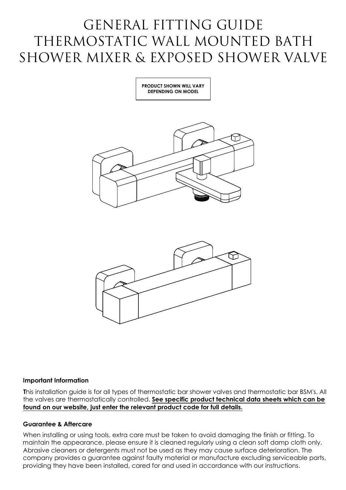# GENERAL FITTING GUIDE GENERAL FITTING GUIDE<br>THERMOSTATIC WALL MOUNTED BATH GENERAL FITTING GUIDE<br>THERMOSTATIC WALL MOUNTED BATH<br>SHOWER MIXER & EXPOSED SHOWER VALVE





This installation guide is for all types of thermostatic bar shower valves and thermostatic bar BSM's. All the valves are thermostatically controlled. <u>See specific product technical data sheets which can be found on our w</u> <mark>found on our website, just enter the relevant product code for full details.</mark><br>Guarantee & Aftercare<br>When installing or using tools, extra care must be taken to avoid damaging the finish or fitting. To

maintain the appearance, please ensure it is cleaned regularly using a clean soft damp cloth only. Guarantee & Aftercare<br>When installing or using tools, extra care must be taken to avoid damaging the finish or fitting. To<br>maintain the appearance, please ensure it is cleaned regularly using a clean soft damp cloth o<br>Abra Abrasive cleaners or detergents must not be used as they may cause surface deterioration. The<br>company provides a guarantee against faulty material or manufacture excluding serviceable parts,<br>providing they have been instal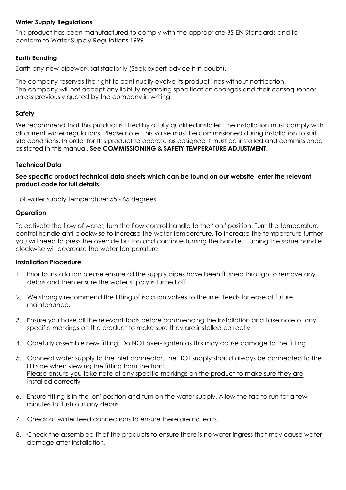# **Water Supply Regulations**

This product h<br>conform to W<br>**Earth Bonding** water Supply Regulations<br>This product has been manufactured to comply with the appropriate BS EN Standards and to conform to Water Supply Regulations 1999.

**Earth Bonding**<br>Earth any new pipework satisfactorily (Seek expert advice if in doubt).

The company reserves the right to continually evolve its product lines without notification. The company reserves the right to continually evolve its product lines without notification.<br>The company will not accept any liability regarding specification changes and their consequences The company will not accept any liability regarding<br>unless previously quoted by the company in writing.

The company will not accept any liability regarding specification changes and their consequences<br>unless previously quoted by the company in writing.<br>We recommend that this product is fitted by a fully qualified installer.

- clockwise will decredse the water temperature.<br>I**nstallation Procedure**<br>1. Prior to installation please ensure all the supply pipes have been flushed through to remove any debris and then ensure is an intertyped pipes have been flushed through to remerate the water supply is turned off.<br>2. We strongly recommend the fitting of isolation valves to the inlet feeds for ease of future
- 2. We strongly recommend the fitting of isolation valves to the inlet feeds for ease of future maintenance.
- 3. Ensure you have all the relevant tools before commencing the installation and take note of any specific markings on the product to make sure they are installed correctly.
- 4. Carefully assemble new fitting. Do NOT over-tighten as this may cause damage to the fitting. specific markings on the product to make sure they are installed correctly.<br>4. Carefully assemble new fitting. Do <u>NOT</u> over-tighten as this may cause damage to the fitting.<br>5. Connect water supply to the inlet connector.
- Connect water supply to the inlet connector<mark>.</mark><br>LH side when viewing the fitting from the front. Carefully assemble new fifting. Do <u>NOT</u> over-fighten as this may cause damage to the fifting<br>Connect water supply to the inlet connector. The HOT supply should always be connected<br>LH side when viewing the fitting from the LH side when viewing the fitting from the front.<br>Please ensure you take note of any specific markings on the product to make sure they are<br>installed correctly
- 6. Ensure fitting is in the 'on' position and turn on the water supply. Allow the tap to run for a few minutes to flush out any debris.
- 7. Check all water feed connections to ensure there are no leaks.
- 8. Check the assembled fit of the products to ensure there is no water ingress that may cause water. Check the assembled f<mark>it c</mark><br>damage after installation.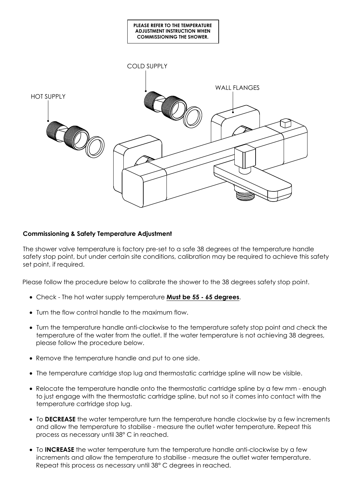

# **Commissioning & Safety Temperature Adjustment**

The shower valve temperature is factory pre-set to a safe 38 degrees at the temperature handle **Commissioning & Safety Temperature Adjustment**<br>The shower valve temperature is factory pre-set to a safe 38 degrees at the temperature handle<br>safety stop point, but under certain site conditions, calibration may be requir safety stop point, b<mark>u</mark><br>set point, if required.

Please follow the procedure below to calibrate the shower to the 38 degrees safety stop point.<br>• Check - The hot water supply temperature **Must be 55 - 65 degrees**.

- Check The hot water supply temperature **Must be 55 65 degrees.**<br>• Turn the flow control handle to the maximum flow.
- 
- Cneck Ine not water supply temperature **Must be 55 65 degrees**.<br>• Turn the flow control handle to the maximum flow.<br>• Turn the temperature handle anti-clockwise to the temperature safety stop point and check the Turn the temperature handle anti-clockwise to the temperature safety stop point and check the<br>temperature of the water from the outlet. If the water temperature is not achieving 38 degrees, temperature of the water from the outlet. If the water temperature is not achieving 38 degrees, please follow the procedure below.
- · Remove the temperature handle and put to one side.
- · The temperature cartridge stop lug and thermostatic cartridge spline will now be visible.
- · Relocate the temperature handle onto the thermostatic cartridge spline by a few mm enough to just engage with the thermostatic cartridge spline, but not so it comes into contact with the temperature cartridge stop lug.
- · To **DECREASE** the water temperature turn the temperature handle clockwise by a few increments To **DECREASE** the water temperature turn the temperature handle clockwise by a few incre<br>and allow the temperature to stabilise - measure the outlet water temperature. Repeat this and allow the temperature to stabilise - mee<br>process as necessary until 38° C in reached. • To **DECREASE** the water temperature turn the temperature handle clockwise by a few increased and allow the temperature to stabilise - measure the outlet water temperature. Repeat the process as necessary until 38° C in r
- To **INCREASE** the water temperature turn the temperature handle anti-clockwise by a few<br>increments and allow the temperature to stabilise measure the outlet water temperature. Repeat this process as necessary until 38° C degrees in reached.